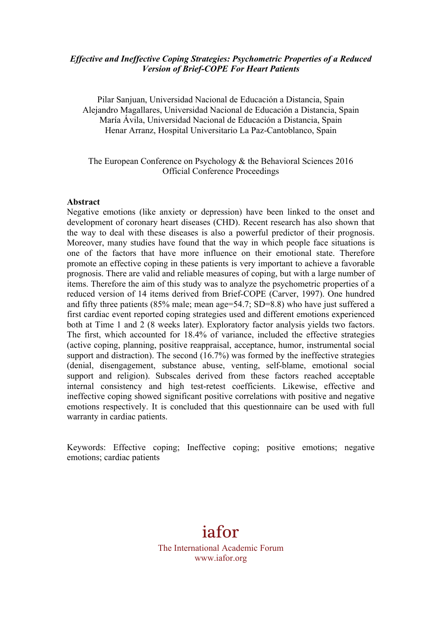## *Effective and Ineffective Coping Strategies: Psychometric Properties of a Reduced Version of Brief-COPE For Heart Patients*

Pilar Sanjuan, Universidad Nacional de Educación a Distancia, Spain Alejandro Magallares, Universidad Nacional de Educación a Distancia, Spain María Ávila, Universidad Nacional de Educación a Distancia, Spain Henar Arranz, Hospital Universitario La Paz-Cantoblanco, Spain

## The European Conference on Psychology & the Behavioral Sciences 2016 Official Conference Proceedings

#### **Abstract**

Negative emotions (like anxiety or depression) have been linked to the onset and development of coronary heart diseases (CHD). Recent research has also shown that the way to deal with these diseases is also a powerful predictor of their prognosis. Moreover, many studies have found that the way in which people face situations is one of the factors that have more influence on their emotional state. Therefore promote an effective coping in these patients is very important to achieve a favorable prognosis. There are valid and reliable measures of coping, but with a large number of items. Therefore the aim of this study was to analyze the psychometric properties of a reduced version of 14 items derived from Brief-COPE (Carver, 1997). One hundred and fifty three patients (85% male; mean age=54.7; SD=8.8) who have just suffered a first cardiac event reported coping strategies used and different emotions experienced both at Time 1 and 2 (8 weeks later). Exploratory factor analysis yields two factors. The first, which accounted for 18.4% of variance, included the effective strategies (active coping, planning, positive reappraisal, acceptance, humor, instrumental social support and distraction). The second (16.7%) was formed by the ineffective strategies (denial, disengagement, substance abuse, venting, self-blame, emotional social support and religion). Subscales derived from these factors reached acceptable internal consistency and high test-retest coefficients. Likewise, effective and ineffective coping showed significant positive correlations with positive and negative emotions respectively. It is concluded that this questionnaire can be used with full warranty in cardiac patients.

Keywords: Effective coping; Ineffective coping; positive emotions; negative emotions; cardiac patients

# iafor

The International Academic Forum www.iafor.org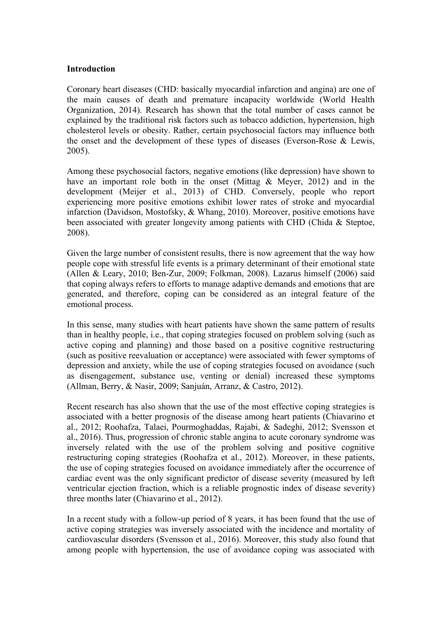### **Introduction**

Coronary heart diseases (CHD: basically myocardial infarction and angina) are one of the main causes of death and premature incapacity worldwide (World Health Organization, 2014). Research has shown that the total number of cases cannot be explained by the traditional risk factors such as tobacco addiction, hypertension, high cholesterol levels or obesity. Rather, certain psychosocial factors may influence both the onset and the development of these types of diseases (Everson-Rose & Lewis, 2005).

Among these psychosocial factors, negative emotions (like depression) have shown to have an important role both in the onset (Mittag & Meyer, 2012) and in the development (Meijer et al., 2013) of CHD. Conversely, people who report experiencing more positive emotions exhibit lower rates of stroke and myocardial infarction (Davidson, Mostofsky, & Whang, 2010). Moreover, positive emotions have been associated with greater longevity among patients with CHD (Chida & Steptoe, 2008).

Given the large number of consistent results, there is now agreement that the way how people cope with stressful life events is a primary determinant of their emotional state (Allen & Leary, 2010; Ben-Zur, 2009; Folkman, 2008). Lazarus himself (2006) said that coping always refers to efforts to manage adaptive demands and emotions that are generated, and therefore, coping can be considered as an integral feature of the emotional process.

In this sense, many studies with heart patients have shown the same pattern of results than in healthy people, i.e., that coping strategies focused on problem solving (such as active coping and planning) and those based on a positive cognitive restructuring (such as positive reevaluation or acceptance) were associated with fewer symptoms of depression and anxiety, while the use of coping strategies focused on avoidance (such as disengagement, substance use, venting or denial) increased these symptoms (Allman, Berry, & Nasir, 2009; Sanjuán, Arranz, & Castro, 2012).

Recent research has also shown that the use of the most effective coping strategies is associated with a better prognosis of the disease among heart patients (Chiavarino et al., 2012; Roohafza, Talaei, Pourmoghaddas, Rajabi, & Sadeghi, 2012; Svensson et al., 2016). Thus, progression of chronic stable angina to acute coronary syndrome was inversely related with the use of the problem solving and positive cognitive restructuring coping strategies (Roohafza et al., 2012). Moreover, in these patients, the use of coping strategies focused on avoidance immediately after the occurrence of cardiac event was the only significant predictor of disease severity (measured by left ventricular ejection fraction, which is a reliable prognostic index of disease severity) three months later (Chiavarino et al., 2012).

In a recent study with a follow-up period of 8 years, it has been found that the use of active coping strategies was inversely associated with the incidence and mortality of cardiovascular disorders (Svensson et al., 2016). Moreover, this study also found that among people with hypertension, the use of avoidance coping was associated with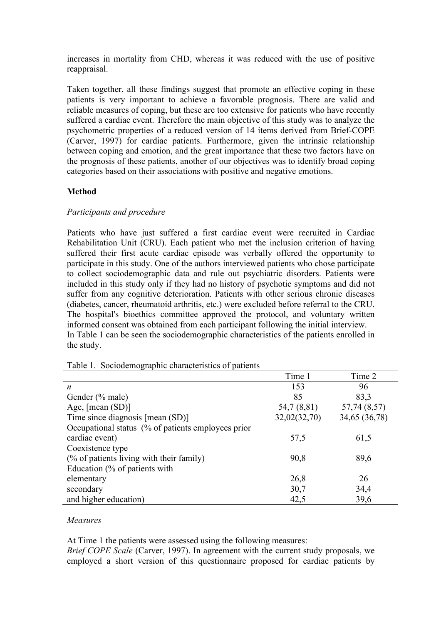increases in mortality from CHD, whereas it was reduced with the use of positive reappraisal.

Taken together, all these findings suggest that promote an effective coping in these patients is very important to achieve a favorable prognosis. There are valid and reliable measures of coping, but these are too extensive for patients who have recently suffered a cardiac event. Therefore the main objective of this study was to analyze the psychometric properties of a reduced version of 14 items derived from Brief-COPE (Carver, 1997) for cardiac patients. Furthermore, given the intrinsic relationship between coping and emotion, and the great importance that these two factors have on the prognosis of these patients, another of our objectives was to identify broad coping categories based on their associations with positive and negative emotions.

## **Method**

## *Participants and procedure*

Patients who have just suffered a first cardiac event were recruited in Cardiac Rehabilitation Unit (CRU). Each patient who met the inclusion criterion of having suffered their first acute cardiac episode was verbally offered the opportunity to participate in this study. One of the authors interviewed patients who chose participate to collect sociodemographic data and rule out psychiatric disorders. Patients were included in this study only if they had no history of psychotic symptoms and did not suffer from any cognitive deterioration. Patients with other serious chronic diseases (diabetes, cancer, rheumatoid arthritis, etc.) were excluded before referral to the CRU. The hospital's bioethics committee approved the protocol, and voluntary written informed consent was obtained from each participant following the initial interview. In Table 1 can be seen the sociodemographic characteristics of the patients enrolled in the study.

|                                                    | Time 1       | Time 2        |
|----------------------------------------------------|--------------|---------------|
| n                                                  | 153          | 96            |
| Gender (% male)                                    | 85           | 83,3          |
| Age, [mean (SD)]                                   | 54,7 (8,81)  | 57,74 (8,57)  |
| Time since diagnosis [mean (SD)]                   | 32,02(32,70) | 34,65 (36,78) |
| Occupational status (% of patients employees prior |              |               |
| cardiac event)                                     | 57,5         | 61,5          |
| Coexistence type                                   |              |               |
| (% of patients living with their family)           | 90,8         | 89,6          |
| Education (% of patients with                      |              |               |
| elementary                                         | 26,8         | 26            |
| secondary                                          | 30,7         | 34,4          |
| and higher education)                              | 42,5         | 39,6          |

Table 1. Sociodemographic characteristics of patients

## *Measures*

At Time 1 the patients were assessed using the following measures:

*Brief COPE Scale* (Carver, 1997). In agreement with the current study proposals, we employed a short version of this questionnaire proposed for cardiac patients by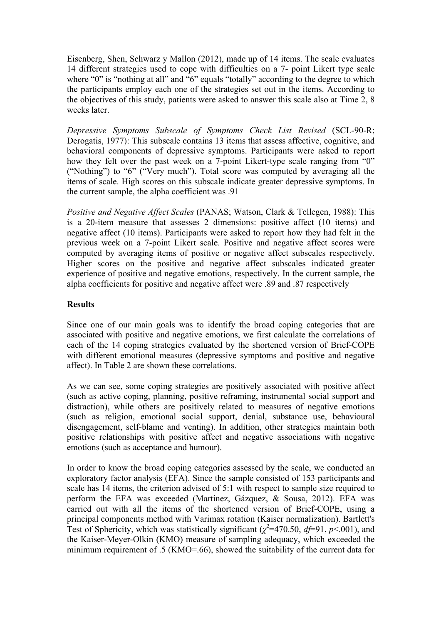Eisenberg, Shen, Schwarz y Mallon (2012), made up of 14 items. The scale evaluates 14 different strategies used to cope with difficulties on a 7- point Likert type scale where "0" is "nothing at all" and "6" equals "totally" according to the degree to which the participants employ each one of the strategies set out in the items. According to the objectives of this study, patients were asked to answer this scale also at Time 2, 8 weeks later.

*Depressive Symptoms Subscale of Symptoms Check List Revised* (SCL-90-R; Derogatis, 1977): This subscale contains 13 items that assess affective, cognitive, and behavioral components of depressive symptoms. Participants were asked to report how they felt over the past week on a 7-point Likert-type scale ranging from "0" ("Nothing") to "6" ("Very much"). Total score was computed by averaging all the items of scale. High scores on this subscale indicate greater depressive symptoms. In the current sample, the alpha coefficient was .91

*Positive and Negative Affect Scales* (PANAS; Watson, Clark & Tellegen, 1988): This is a 20-item measure that assesses 2 dimensions: positive affect (10 items) and negative affect (10 items). Participants were asked to report how they had felt in the previous week on a 7-point Likert scale. Positive and negative affect scores were computed by averaging items of positive or negative affect subscales respectively. Higher scores on the positive and negative affect subscales indicated greater experience of positive and negative emotions, respectively. In the current sample, the alpha coefficients for positive and negative affect were .89 and .87 respectively

## **Results**

Since one of our main goals was to identify the broad coping categories that are associated with positive and negative emotions, we first calculate the correlations of each of the 14 coping strategies evaluated by the shortened version of Brief-COPE with different emotional measures (depressive symptoms and positive and negative affect). In Table 2 are shown these correlations.

As we can see, some coping strategies are positively associated with positive affect (such as active coping, planning, positive reframing, instrumental social support and distraction), while others are positively related to measures of negative emotions (such as religion, emotional social support, denial, substance use, behavioural disengagement, self-blame and venting). In addition, other strategies maintain both positive relationships with positive affect and negative associations with negative emotions (such as acceptance and humour).

In order to know the broad coping categories assessed by the scale, we conducted an exploratory factor analysis (EFA). Since the sample consisted of 153 participants and scale has 14 items, the criterion advised of 5:1 with respect to sample size required to perform the EFA was exceeded (Martinez, Gázquez, & Sousa, 2012). EFA was carried out with all the items of the shortened version of Brief-COPE, using a principal components method with Varimax rotation (Kaiser normalization). Bartlett's Test of Sphericity, which was statistically significant ( $\chi^2$ =470.50, *df*=91, *p*<.001), and the Kaiser-Meyer-Olkin (KMO) measure of sampling adequacy, which exceeded the minimum requirement of .5 (KMO=.66), showed the suitability of the current data for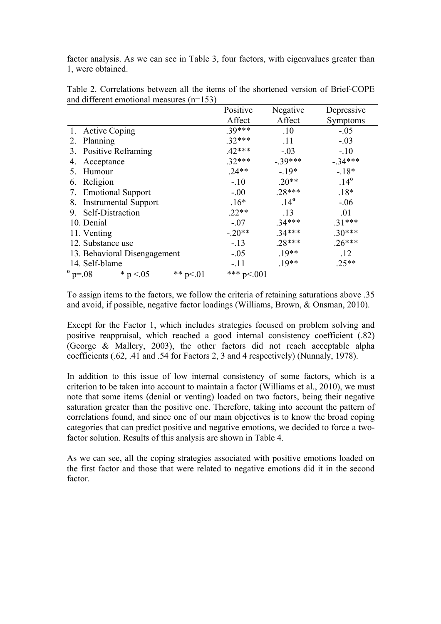factor analysis. As we can see in Table 3, four factors, with eigenvalues greater than 1, were obtained.

|                                               | Positive     | Negative      | Depressive    |
|-----------------------------------------------|--------------|---------------|---------------|
|                                               | Affect       | Affect        | Symptoms      |
| <b>Active Coping</b><br>1.                    | $.39***$     | .10           | $-.05$        |
| 2. Planning                                   | $.32***$     | .11           | $-.03$        |
| 3. Positive Reframing                         | $.42***$     | $-.03$        | $-.10$        |
| Acceptance<br>4.                              | $.32***$     | $-39***$      | $-.34***$     |
| Humour<br>5.                                  | $.24**$      | $-19*$        | $-18*$        |
| Religion<br>6.                                | $-.10$       | $.20**$       | $.14^{\circ}$ |
| <b>Emotional Support</b><br>7.                | $-.00$       | $.28***$      | $.18*$        |
| <b>Instrumental Support</b><br>8.             | $.16*$       | $.14^{\circ}$ | $-.06$        |
| Self-Distraction<br>9.                        | $.22**$      | .13           | .01           |
| 10. Denial                                    | $-.07$       | $.34***$      | $.31***$      |
| 11. Venting                                   | $-.20**$     | $.34***$      | $.30***$      |
| 12. Substance use                             | $-13$        | $.28***$      | $.26***$      |
| 13. Behavioral Disengagement                  | $-.05$       | $.19**$       | .12           |
| 14. Self-blame                                | $-.11$       | $.19**$       | $.25**$       |
| $^{\circ}$ p=.08<br>** $p<01$<br>* $p < 0.05$ | *** $p<.001$ |               |               |

Table 2. Correlations between all the items of the shortened version of Brief-COPE and different emotional measures (n=153)

To assign items to the factors, we follow the criteria of retaining saturations above .35 and avoid, if possible, negative factor loadings (Williams, Brown, & Onsman, 2010).

Except for the Factor 1, which includes strategies focused on problem solving and positive reappraisal, which reached a good internal consistency coefficient (.82) (George & Mallery, 2003), the other factors did not reach acceptable alpha coefficients (.62, .41 and .54 for Factors 2, 3 and 4 respectively) (Nunnaly, 1978).

In addition to this issue of low internal consistency of some factors, which is a criterion to be taken into account to maintain a factor (Williams et al., 2010), we must note that some items (denial or venting) loaded on two factors, being their negative saturation greater than the positive one. Therefore, taking into account the pattern of correlations found, and since one of our main objectives is to know the broad coping categories that can predict positive and negative emotions, we decided to force a twofactor solution. Results of this analysis are shown in Table 4.

As we can see, all the coping strategies associated with positive emotions loaded on the first factor and those that were related to negative emotions did it in the second factor.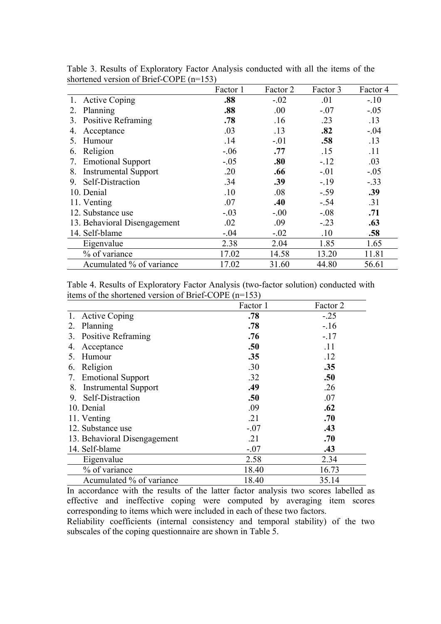|                                   | Factor 1 | Factor 2 | Factor 3 | Factor 4 |
|-----------------------------------|----------|----------|----------|----------|
| <b>Active Coping</b>              | .88      | $-.02$   | .01      | $-.10$   |
| Planning<br>2                     | .88      | .00.     | $-.07$   | $-.05$   |
| <b>Positive Reframing</b><br>3.   | .78      | .16      | .23      | .13      |
| Acceptance<br>4.                  | .03      | .13      | .82      | $-.04$   |
| Humour<br>5.                      | .14      | $-.01$   | .58      | .13      |
| Religion<br>6.                    | $-.06$   | .77      | .15      | .11      |
| <b>Emotional Support</b><br>7.    | $-.05$   | .80      | $-12$    | .03      |
| <b>Instrumental Support</b><br>8. | .20      | .66      | $-.01$   | $-.05$   |
| Self-Distraction<br>9.            | .34      | .39      | $-19$    | $-.33$   |
| 10. Denial                        | .10      | .08      | $-.59$   | .39      |
| 11. Venting                       | .07      | .40      | $-.54$   | .31      |
| 12. Substance use                 | $-.03$   | $-.00$   | $-.08$   | .71      |
| 13. Behavioral Disengagement      | .02      | .09      | $-.23$   | .63      |
| 14. Self-blame                    | $-.04$   | $-.02$   | .10      | .58      |
| Eigenvalue                        | 2.38     | 2.04     | 1.85     | 1.65     |
| % of variance                     | 17.02    | 14.58    | 13.20    | 11.81    |
| Acumulated % of variance          | 17.02    | 31.60    | 44.80    | 56.61    |

Table 3. Results of Exploratory Factor Analysis conducted with all the items of the shortened version of Brief-COPE (n=153)

Table 4. Results of Exploratory Factor Analysis (two-factor solution) conducted with items of the shortened version of Brief-COPE (n=153)

|    |                              | Factor 1 | Factor 2 |
|----|------------------------------|----------|----------|
|    | 1. Active Coping             | .78      | $-.25$   |
| 2. | Planning                     | .78      | $-.16$   |
| 3. | <b>Positive Reframing</b>    | .76      | $-.17$   |
| 4. | Acceptance                   | .50      | .11      |
| 5. | Humour                       | .35      | .12      |
| 6. | Religion                     | .30      | .35      |
| 7. | <b>Emotional Support</b>     | .32      | .50      |
| 8. | <b>Instrumental Support</b>  | .49      | .26      |
| 9. | Self-Distraction             | .50      | .07      |
|    | 10. Denial                   | .09      | .62      |
|    | 11. Venting                  | .21      | .70      |
|    | 12. Substance use            | $-.07$   | .43      |
|    | 13. Behavioral Disengagement | .21      | .70      |
|    | 14. Self-blame               | $-.07$   | .43      |
|    | Eigenvalue                   | 2.58     | 2.34     |
|    | % of variance                | 18.40    | 16.73    |
|    | Acumulated % of variance     | 18.40    | 35.14    |

In accordance with the results of the latter factor analysis two scores labelled as effective and ineffective coping were computed by averaging item scores corresponding to items which were included in each of these two factors. Reliability coefficients (internal consistency and temporal stability) of the two subscales of the coping questionnaire are shown in Table 5.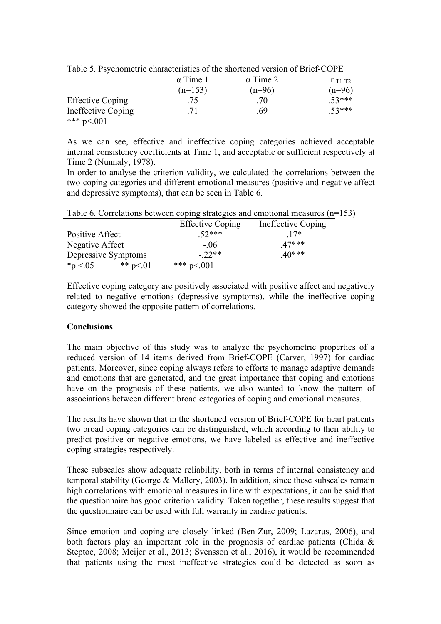| $-$ we see that the state of the second state of the state of the state of $\sim$ $  -$ |                 |                 |             |
|-----------------------------------------------------------------------------------------|-----------------|-----------------|-------------|
|                                                                                         | $\alpha$ Time 1 | $\alpha$ Time 2 | $r_{T1-T2}$ |
|                                                                                         | $(n=153)$       | $(n=96)$        | $(n=96)$    |
| <b>Effective Coping</b>                                                                 |                 |                 | $53***$     |
| Ineffective Coping                                                                      |                 | 69              | $53***$     |
| .                                                                                       |                 |                 |             |

Table 5. Psychometric characteristics of the shortened version of Brief-COPE

As we can see, effective and ineffective coping categories achieved acceptable internal consistency coefficients at Time 1, and acceptable or sufficient respectively at Time 2 (Nunnaly, 1978).

In order to analyse the criterion validity, we calculated the correlations between the two coping categories and different emotional measures (positive and negative affect and depressive symptoms), that can be seen in Table 6.

| Table 0. Conciditions between coping strategies and chrotional measures (if the |           |                         |                    |
|---------------------------------------------------------------------------------|-----------|-------------------------|--------------------|
|                                                                                 |           | <b>Effective Coping</b> | Ineffective Coping |
| Positive Affect                                                                 |           | $52***$                 | $-17*$             |
| Negative Affect                                                                 |           | $-06$                   | $47***$            |
| Depressive Symptoms                                                             |           | $-22**$                 | $40***$            |
| $*_{p}$ < 05                                                                    | ** $p<01$ | *** $p<.001$            |                    |

Table 6. Correlations between coping strategies and emotional measures (n=153).

Effective coping category are positively associated with positive affect and negatively related to negative emotions (depressive symptoms), while the ineffective coping category showed the opposite pattern of correlations.

## **Conclusions**

The main objective of this study was to analyze the psychometric properties of a reduced version of 14 items derived from Brief-COPE (Carver, 1997) for cardiac patients. Moreover, since coping always refers to efforts to manage adaptive demands and emotions that are generated, and the great importance that coping and emotions have on the prognosis of these patients, we also wanted to know the pattern of associations between different broad categories of coping and emotional measures.

The results have shown that in the shortened version of Brief-COPE for heart patients two broad coping categories can be distinguished, which according to their ability to predict positive or negative emotions, we have labeled as effective and ineffective coping strategies respectively.

These subscales show adequate reliability, both in terms of internal consistency and temporal stability (George & Mallery, 2003). In addition, since these subscales remain high correlations with emotional measures in line with expectations, it can be said that the questionnaire has good criterion validity. Taken together, these results suggest that the questionnaire can be used with full warranty in cardiac patients.

Since emotion and coping are closely linked (Ben-Zur, 2009; Lazarus, 2006), and both factors play an important role in the prognosis of cardiac patients (Chida  $\&$ Steptoe, 2008; Meijer et al., 2013; Svensson et al., 2016), it would be recommended that patients using the most ineffective strategies could be detected as soon as

<sup>\*\*\*</sup> p<.001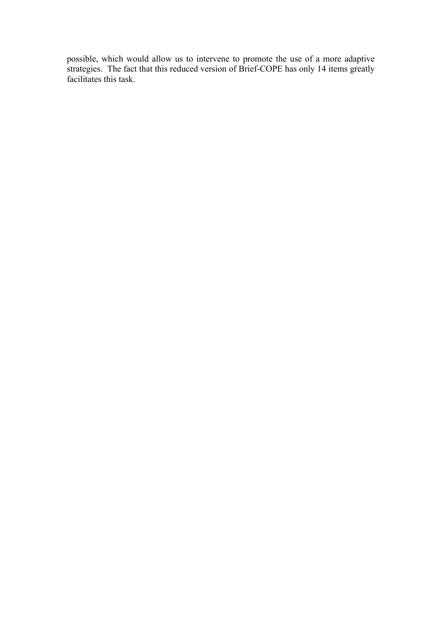possible, which would allow us to intervene to promote the use of a more adaptive strategies. The fact that this reduced version of Brief-COPE has only 14 items greatly facilitates this task.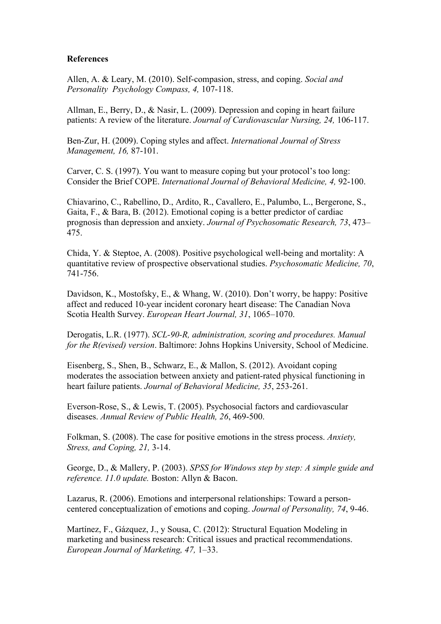### **References**

Allen, A. & Leary, M. (2010). Self-compasion, stress, and coping. *Social and Personality Psychology Compass, 4,* 107-118.

Allman, E., Berry, D., & Nasir, L. (2009). Depression and coping in heart failure patients: A review of the literature. *Journal of Cardiovascular Nursing, 24,* 106-117.

Ben-Zur, H. (2009). Coping styles and affect. *International Journal of Stress Management, 16,* 87-101.

Carver, C. S. (1997). You want to measure coping but your protocol's too long: Consider the Brief COPE. *International Journal of Behavioral Medicine, 4,* 92-100.

Chiavarino, C., Rabellino, D., Ardito, R., Cavallero, E., Palumbo, L., Bergerone, S., Gaita, F., & Bara, B. (2012). Emotional coping is a better predictor of cardiac prognosis than depression and anxiety. *Journal of Psychosomatic Research, 73*, 473– 475.

Chida, Y. & Steptoe, A. (2008). Positive psychological well-being and mortality: A quantitative review of prospective observational studies. *Psychosomatic Medicine, 70*, 741-756.

Davidson, K., Mostofsky, E., & Whang, W. (2010). Don't worry, be happy: Positive affect and reduced 10-year incident coronary heart disease: The Canadian Nova Scotia Health Survey. *European Heart Journal, 31*, 1065–1070.

Derogatis, L.R. (1977). *SCL-90-R, administration, scoring and procedures. Manual for the R(evised) version*. Baltimore: Johns Hopkins University, School of Medicine.

Eisenberg, S., Shen, B., Schwarz, E., & Mallon, S. (2012). Avoidant coping moderates the association between anxiety and patient-rated physical functioning in heart failure patients. *Journal of Behavioral Medicine, 35*, 253-261.

Everson-Rose, S., & Lewis, T. (2005). Psychosocial factors and cardiovascular diseases. *Annual Review of Public Health, 26*, 469-500.

Folkman, S. (2008). The case for positive emotions in the stress process. *Anxiety, Stress, and Coping, 21,* 3-14.

George, D., & Mallery, P. (2003). *SPSS for Windows step by step: A simple guide and reference. 11.0 update.* Boston: Allyn & Bacon.

Lazarus, R. (2006). Emotions and interpersonal relationships: Toward a personcentered conceptualization of emotions and coping. *Journal of Personality, 74*, 9-46.

Martínez, F., Gázquez, J., y Sousa, C. (2012): Structural Equation Modeling in marketing and business research: Critical issues and practical recommendations. *European Journal of Marketing, 47,* 1–33.